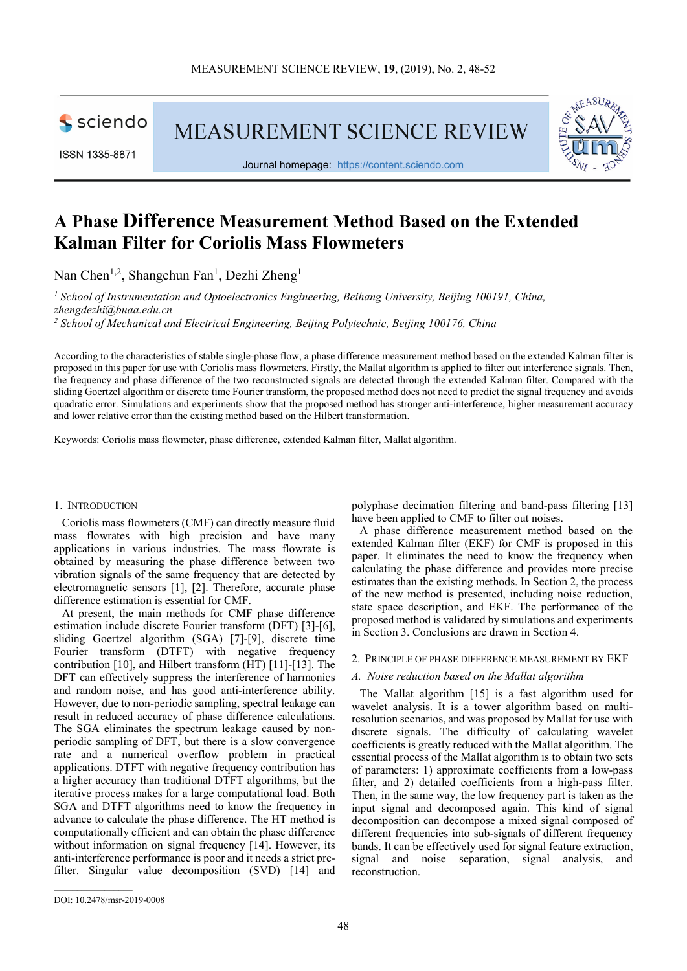

ISSN 1335-8871

**MEASUREMENT SCIENCE REVIEW** 



Journal homepage: https://content.sciendo.com

# **A Phase Difference Measurement Method Based on the Extended Kalman Filter for Coriolis Mass Flowmeters**

Nan Chen<sup>1,2</sup>, Shangchun Fan<sup>1</sup>, Dezhi Zheng<sup>1</sup>

*1 School of Instrumentation and Optoelectronics Engineering, Beihang University, Beijing 100191, China, zhengdezhi@buaa.edu.cn* 

<sup>2</sup> School of Mechanical and Electrical Engineering, Beijing Polytechnic, Beijing 100176, China

According to the characteristics of stable single-phase flow, a phase difference measurement method based on the extended Kalman filter is proposed in this paper for use with Coriolis mass flowmeters. Firstly, the Mallat algorithm is applied to filter out interference signals. Then, the frequency and phase difference of the two reconstructed signals are detected through the extended Kalman filter. Compared with the sliding Goertzel algorithm or discrete time Fourier transform, the proposed method does not need to predict the signal frequency and avoids quadratic error. Simulations and experiments show that the proposed method has stronger anti-interference, higher measurement accuracy and lower relative error than the existing method based on the Hilbert transformation.

Keywords: Coriolis mass flowmeter, phase difference, extended Kalman filter, Mallat algorithm.

# 1. INTRODUCTION

Coriolis mass flowmeters (CMF) can directly measure fluid mass flowrates with high precision and have many applications in various industries. The mass flowrate is obtained by measuring the phase difference between two vibration signals of the same frequency that are detected by electromagnetic sensors [1], [2]. Therefore, accurate phase difference estimation is essential for CMF.

At present, the main methods for CMF phase difference estimation include discrete Fourier transform (DFT) [3]-[6], sliding Goertzel algorithm (SGA) [7]-[9], discrete time Fourier transform (DTFT) with negative frequency contribution [10], and Hilbert transform (HT) [11]-[13]. The DFT can effectively suppress the interference of harmonics and random noise, and has good anti-interference ability. However, due to non-periodic sampling, spectral leakage can result in reduced accuracy of phase difference calculations. The SGA eliminates the spectrum leakage caused by nonperiodic sampling of DFT, but there is a slow convergence rate and a numerical overflow problem in practical applications. DTFT with negative frequency contribution has a higher accuracy than traditional DTFT algorithms, but the iterative process makes for a large computational load. Both SGA and DTFT algorithms need to know the frequency in advance to calculate the phase difference. The HT method is computationally efficient and can obtain the phase difference without information on signal frequency [14]. However, its anti-interference performance is poor and it needs a strict prefilter. Singular value decomposition (SVD) [14] and polyphase decimation filtering and band-pass filtering [13] have been applied to CMF to filter out noises.

A phase difference measurement method based on the extended Kalman filter (EKF) for CMF is proposed in this paper. It eliminates the need to know the frequency when calculating the phase difference and provides more precise estimates than the existing methods. In Section 2, the process of the new method is presented, including noise reduction, state space description, and EKF. The performance of the proposed method is validated by simulations and experiments in Section 3. Conclusions are drawn in Section 4.

#### 2. PRINCIPLE OF PHASE DIFFERENCE MEASUREMENT BY EKF

## *A. Noise reduction based on the Mallat algorithm*

The Mallat algorithm [15] is a fast algorithm used for wavelet analysis. It is a tower algorithm based on multiresolution scenarios, and was proposed by Mallat for use with discrete signals. The difficulty of calculating wavelet coefficients is greatly reduced with the Mallat algorithm. The essential process of the Mallat algorithm is to obtain two sets of parameters: 1) approximate coefficients from a low-pass filter, and 2) detailed coefficients from a high-pass filter. Then, in the same way, the low frequency part is taken as the input signal and decomposed again. This kind of signal decomposition can decompose a mixed signal composed of different frequencies into sub-signals of different frequency bands. It can be effectively used for signal feature extraction, signal and noise separation, signal analysis, and reconstruction.

DOI: 10.2478/msr-2019-0008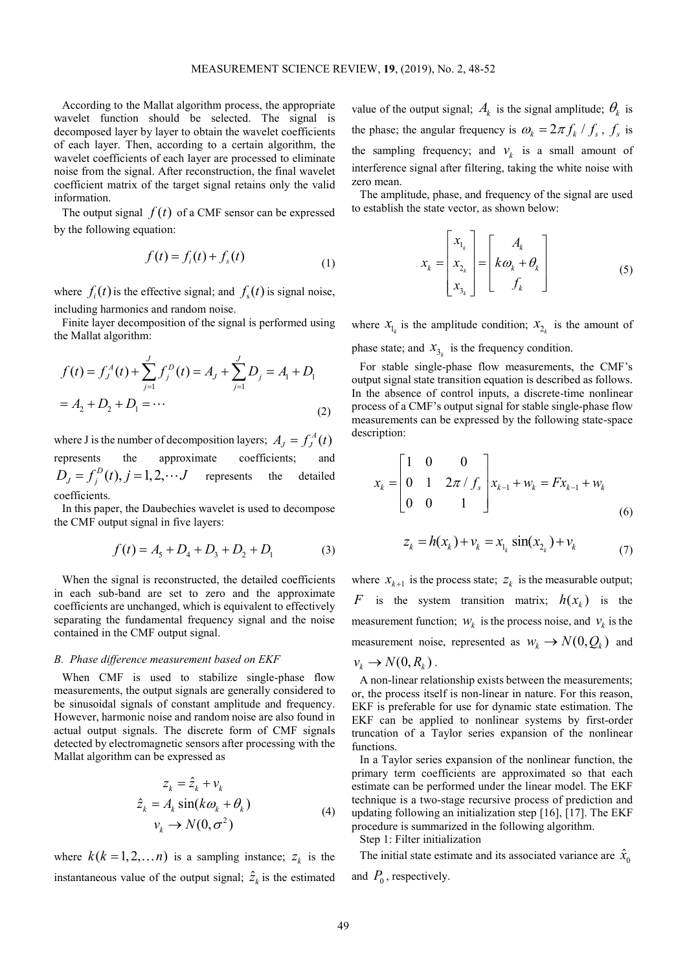According to the Mallat algorithm process, the appropriate wavelet function should be selected. The signal is decomposed layer by layer to obtain the wavelet coefficients of each layer. Then, according to a certain algorithm, the wavelet coefficients of each layer are processed to eliminate noise from the signal. After reconstruction, the final wavelet coefficient matrix of the target signal retains only the valid information.

The output signal  $f(t)$  of a CMF sensor can be expressed by the following equation:

$$
f(t) = fi(t) + fs(t)
$$
\n(1)

where  $f_i(t)$  is the effective signal; and  $f_s(t)$  is signal noise, including harmonics and random noise.

Finite layer decomposition of the signal is performed using the Mallat algorithm:

$$
f(t) = f_j^A(t) + \sum_{j=1}^J f_j^D(t) = A_j + \sum_{j=1}^J D_j = A_1 + D_1
$$
  
=  $A_2 + D_2 + D_1 = \cdots$  (2)

where J is the number of decomposition layers;  $A_J = f_J^A(t)$ represents the approximate coefficients; and  $D_i = f_i^D(t)$ ,  $j = 1,2,\dots J$  represents the detailed coefficients.

In this paper, the Daubechies wavelet is used to decompose the CMF output signal in five layers:

$$
f(t) = A5 + D4 + D3 + D2 + D1
$$
 (3)

When the signal is reconstructed, the detailed coefficients in each sub-band are set to zero and the approximate coefficients are unchanged, which is equivalent to effectively separating the fundamental frequency signal and the noise contained in the CMF output signal.

#### *B. Phase difference measurement based on EKF*

When CMF is used to stabilize single-phase flow measurements, the output signals are generally considered to be sinusoidal signals of constant amplitude and frequency. However, harmonic noise and random noise are also found in actual output signals. The discrete form of CMF signals detected by electromagnetic sensors after processing with the Mallat algorithm can be expressed as

$$
z_k = \hat{z}_k + v_k
$$
  
\n
$$
\hat{z}_k = A_k \sin(k\omega_k + \theta_k)
$$
  
\n
$$
v_k \to N(0, \sigma^2)
$$
\n(4)

where  $k(k = 1, 2, \dots n)$  is a sampling instance;  $z_k$  is the instantaneous value of the output signal;  $\hat{z}_k$  is the estimated value of the output signal;  $A_k$  is the signal amplitude;  $\theta_k$  is the phase; the angular frequency is  $\omega_k = 2\pi f_k / f_s$ ,  $f_s$  is the sampling frequency; and  $v_k$  is a small amount of interference signal after filtering, taking the white noise with zero mean.

The amplitude, phase, and frequency of the signal are used to establish the state vector, as shown below:

$$
x_k = \begin{bmatrix} x_{1_k} \\ x_{2_k} \\ x_{3_k} \end{bmatrix} = \begin{bmatrix} A_k \\ k\omega_k + \theta_k \\ f_k \end{bmatrix}
$$
 (5)

where  $x_{1_k}$  is the amplitude condition;  $x_{2_k}$  is the amount of phase state; and  $x_{3_k}$  is the frequency condition.

For stable single-phase flow measurements, the CMF's output signal state transition equation is described as follows. In the absence of control inputs, a discrete-time nonlinear process of a CMF's output signal for stable single-phase flow measurements can be expressed by the following state-space description:

$$
x_{k} = \begin{bmatrix} 1 & 0 & 0 \\ 0 & 1 & 2\pi / f_{s} \\ 0 & 0 & 1 \end{bmatrix} x_{k-1} + w_{k} = F x_{k-1} + w_{k}
$$
 (6)

$$
z_k = h(x_k) + v_k = x_{1_k} \sin(x_{2_k}) + v_k \tag{7}
$$

where  $x_{k+1}$  is the process state;  $z_k$  is the measurable output; *F* is the system transition matrix;  $h(x_k)$  is the measurement function;  $W_k$  is the process noise, and  $V_k$  is the measurement noise, represented as  $w_k \to N(0, Q_k)$  and

$$
v_k \to N(0,R_k) \, .
$$

A non-linear relationship exists between the measurements; or, the process itself is non-linear in nature. For this reason, EKF is preferable for use for dynamic state estimation. The EKF can be applied to nonlinear systems by first-order truncation of a Taylor series expansion of the nonlinear functions.

In a Taylor series expansion of the nonlinear function, the primary term coefficients are approximated so that each estimate can be performed under the linear model. The EKF technique is a two-stage recursive process of prediction and updating following an initialization step [16], [17]. The EKF procedure is summarized in the following algorithm.

Step 1: Filter initialization

The initial state estimate and its associated variance are  $\hat{x}_0$ 

and  $P_0$ , respectively.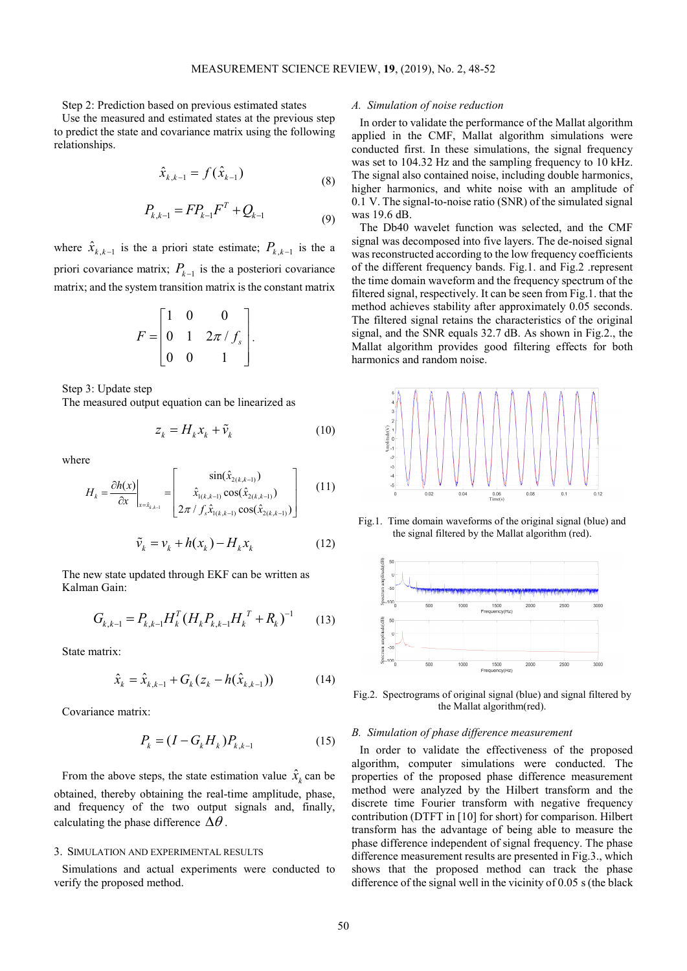Step 2: Prediction based on previous estimated states

Use the measured and estimated states at the previous step to predict the state and covariance matrix using the following relationships.

$$
\hat{x}_{k,k-1} = f(\hat{x}_{k-1})
$$
\n(8)

$$
P_{k,k-1} = FP_{k-1}F^T + Q_{k-1}
$$
\n(9)

where  $\hat{x}_{k,k-1}$  is the a priori state estimate;  $P_{k,k-1}$  is the a priori covariance matrix;  $P_{k-1}$  is the a posteriori covariance matrix; and the system transition matrix is the constant matrix

$$
F = \begin{bmatrix} 1 & 0 & 0 \\ 0 & 1 & 2\pi/f_s \\ 0 & 0 & 1 \end{bmatrix}.
$$

Step 3: Update step

The measured output equation can be linearized as

$$
z_k = H_k x_k + \tilde{v}_k \tag{10}
$$

where

$$
H_{k} = \frac{\partial h(x)}{\partial x}\Big|_{x = \hat{x}_{k,k-1}} = \begin{bmatrix} \sin(\hat{x}_{2(k,k-1)}) \\ \hat{x}_{1(k,k-1)} \cos(\hat{x}_{2(k,k-1)}) \\ 2\pi / f_{s} \hat{x}_{1(k,k-1)} \cos(\hat{x}_{2(k,k-1)}) \end{bmatrix}
$$
(11)

$$
\tilde{v}_k = v_k + h(x_k) - H_k x_k \tag{12}
$$

The new state updated through EKF can be written as Kalman Gain:

$$
G_{k,k-1} = P_{k,k-1} H_k^T (H_k P_{k,k-1} H_k^T + R_k)^{-1}
$$
 (13)

State matrix:

$$
\hat{x}_{k} = \hat{x}_{k,k-1} + G_{k}(z_{k} - h(\hat{x}_{k,k-1}))
$$
\n(14)

Covariance matrix:

$$
P_k = (I - G_k H_k) P_{k,k-1}
$$
 (15)

From the above steps, the state estimation value  $\hat{x}_k$  can be obtained, thereby obtaining the real-time amplitude, phase, and frequency of the two output signals and, finally, calculating the phase difference  $\Delta\theta$ .

# 3. SIMULATION AND EXPERIMENTAL RESULTS

Simulations and actual experiments were conducted to verify the proposed method.

# *A. Simulation of noise reduction*

In order to validate the performance of the Mallat algorithm applied in the CMF, Mallat algorithm simulations were conducted first. In these simulations, the signal frequency was set to 104.32 Hz and the sampling frequency to 10 kHz. The signal also contained noise, including double harmonics, higher harmonics, and white noise with an amplitude of 0.1 V. The signal-to-noise ratio (SNR) of the simulated signal was 19.6 dB.

The Db40 wavelet function was selected, and the CMF signal was decomposed into five layers. The de-noised signal was reconstructed according to the low frequency coefficients of the different frequency bands. Fig.1. and Fig.2 .represent the time domain waveform and the frequency spectrum of the filtered signal, respectively. It can be seen from Fig.1. that the method achieves stability after approximately 0.05 seconds. The filtered signal retains the characteristics of the original signal, and the SNR equals 32.7 dB. As shown in Fig.2., the Mallat algorithm provides good filtering effects for both harmonics and random noise.



Fig.1. Time domain waveforms of the original signal (blue) and the signal filtered by the Mallat algorithm (red).



Fig.2. Spectrograms of original signal (blue) and signal filtered by the Mallat algorithm(red).

#### *B. Simulation of phase difference measurement*

In order to validate the effectiveness of the proposed algorithm, computer simulations were conducted. The properties of the proposed phase difference measurement method were analyzed by the Hilbert transform and the discrete time Fourier transform with negative frequency contribution (DTFT in [10] for short) for comparison. Hilbert transform has the advantage of being able to measure the phase difference independent of signal frequency. The phase difference measurement results are presented in Fig.3., which shows that the proposed method can track the phase difference of the signal well in the vicinity of 0.05 s (the black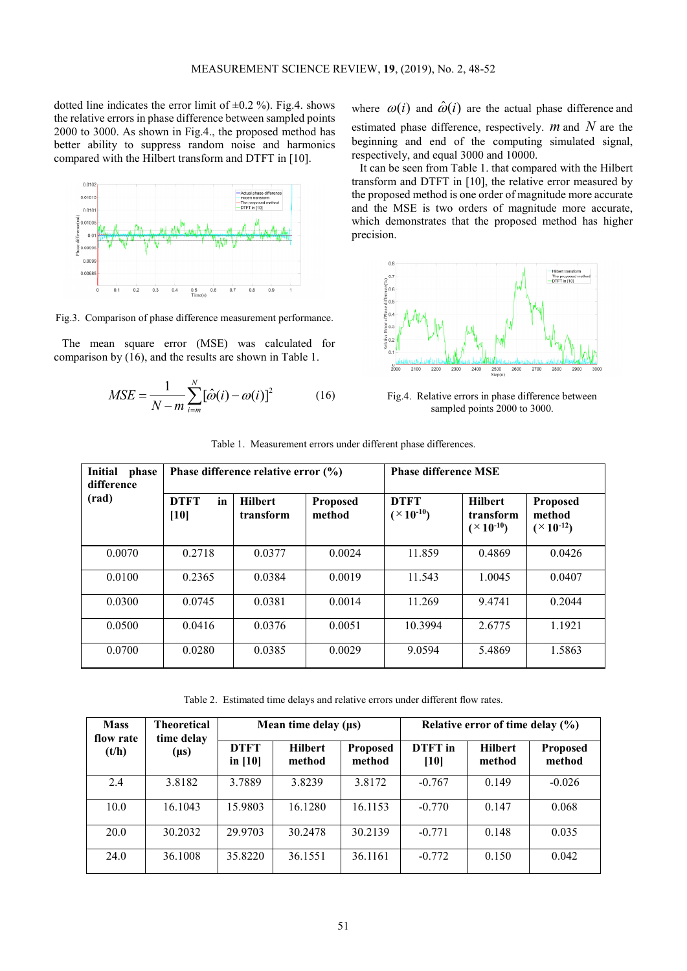dotted line indicates the error limit of  $\pm 0.2$  %). Fig.4. shows the relative errors in phase difference between sampled points 2000 to 3000. As shown in Fig.4., the proposed method has better ability to suppress random noise and harmonics compared with the Hilbert transform and DTFT in [10].



Fig.3. Comparison of phase difference measurement performance.

The mean square error (MSE) was calculated for comparison by (16), and the results are shown in Table 1.

$$
MSE = \frac{1}{N - m} \sum_{i=m}^{N} [\hat{\omega}(i) - \omega(i)]^2
$$
 (16)

where  $\omega(i)$  and  $\hat{\omega}(i)$  are the actual phase difference and estimated phase difference, respectively. *m* and *N* are the beginning and end of the computing simulated signal, respectively, and equal 3000 and 10000.

It can be seen from Table 1. that compared with the Hilbert transform and DTFT in [10], the relative error measured by the proposed method is one order of magnitude more accurate and the MSE is two orders of magnitude more accurate, which demonstrates that the proposed method has higher precision.



Fig.4. Relative errors in phase difference between sampled points 2000 to 3000.

| Initial<br>phase<br>difference |                             | Phase difference relative error (%) |                           | <b>Phase difference MSE</b>            |                                                        |                                                      |  |
|--------------------------------|-----------------------------|-------------------------------------|---------------------------|----------------------------------------|--------------------------------------------------------|------------------------------------------------------|--|
| (rad)                          | <b>DTFT</b><br>in<br>$[10]$ | <b>Hilbert</b><br>transform         | <b>Proposed</b><br>method | <b>DTFT</b><br>$({}^{\times}10^{-10})$ | <b>Hilbert</b><br>transform<br>$({}^{\times}10^{-10})$ | <b>Proposed</b><br>method<br>$({}^{\times}10^{-12})$ |  |
| 0.0070                         | 0.2718                      | 0.0377                              | 0.0024                    | 11.859                                 | 0.4869                                                 | 0.0426                                               |  |
| 0.0100                         | 0.2365                      | 0.0384                              | 0.0019                    | 11.543                                 | 1.0045                                                 | 0.0407                                               |  |
| 0.0300                         | 0.0745                      | 0.0381                              | 0.0014                    | 11.269                                 | 9.4741                                                 | 0.2044                                               |  |
| 0.0500                         | 0.0416                      | 0.0376                              | 0.0051                    | 10.3994                                | 2.6775                                                 | 1.1921                                               |  |
| 0.0700                         | 0.0280                      | 0.0385                              | 0.0029                    | 9.0594                                 | 5.4869                                                 | 1.5863                                               |  |

Table 1. Measurement errors under different phase differences.

Table 2. Estimated time delays and relative errors under different flow rates.

| <b>Mass</b><br>flow rate<br>(t/h) | <b>Theoretical</b><br>time delay<br>$(\mu s)$ | Mean time delay $(\mu s)$ |                          |                           | Relative error of time delay $(\% )$ |                          |                           |
|-----------------------------------|-----------------------------------------------|---------------------------|--------------------------|---------------------------|--------------------------------------|--------------------------|---------------------------|
|                                   |                                               | <b>DTFT</b><br>in $[10]$  | <b>Hilbert</b><br>method | <b>Proposed</b><br>method | DTFT in<br>[10]                      | <b>Hilbert</b><br>method | <b>Proposed</b><br>method |
| 2.4                               | 3.8182                                        | 3.7889                    | 3.8239                   | 3.8172                    | $-0.767$                             | 0.149                    | $-0.026$                  |
| 10.0                              | 16.1043                                       | 15.9803                   | 16.1280                  | 16.1153                   | $-0.770$                             | 0.147                    | 0.068                     |
| 20.0                              | 30.2032                                       | 29.9703                   | 30.2478                  | 30.2139                   | $-0.771$                             | 0.148                    | 0.035                     |
| 24.0                              | 36.1008                                       | 35.8220                   | 36.1551                  | 36.1161                   | $-0.772$                             | 0.150                    | 0.042                     |